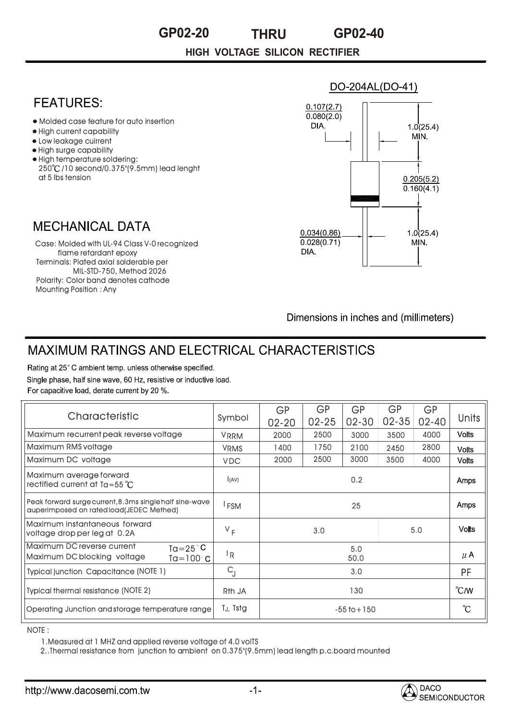# **GP02-20 THRU GP02-40**

**HIGH VOLTAGE SILICON RECTIFIER**

### **FFATURFS:**

- Molded case feature for auto insertion
- High current capability
- Low leakage cuirrent
- High surge capability
- High temperature soldering: 250 /10 second/0.375"(9.5mm) lead lenght at 5 lbs tension

#### **MECHANICAL DATA**

Terminals: Plated axial solderable per per MIL-STD-750, Method 2026 Case: Molded with UL-94 Class V-0 recognized flame retardant epoxy Polarity: Color band denotes cathode Mounting Position : Any

#### $0.107(2.7)$  $0.080(2.0)$ DIA.  $10(254)$ MIN.  $0.205(5.2)$  $\overline{0.160(4.1)}$  $0.034(0.86)$  $1.0(25.4)$  $0.028(0.71)$ MIN. DIA.

DO-204AL(DO-41)

Dimensions in inches and (millimeters)

## **MAXIMUM RATINGS AND ELECTRICAL CHARACTERISTICS**

Rating at 25°C ambient temp. unless otherwise specified. Single phase, half sine wave, 60 Hz, resistive or inductive load. For capacitive load, derate current by 20 %.

| Characteristic                                                                                         | Symbol                    | <b>GP</b><br>$02 - 20$ | <b>GP</b><br>$02 - 25$ | GP<br>$02 - 30$ | GP<br>$02 - 35$ | <b>GP</b><br>$02 - 40$ | Units                             |
|--------------------------------------------------------------------------------------------------------|---------------------------|------------------------|------------------------|-----------------|-----------------|------------------------|-----------------------------------|
| Maximum recurrent peak reverse voltage                                                                 | <b>VRRM</b>               | 2000                   | 2500                   | 3000            | 3500            | 4000                   | <b>Volts</b>                      |
| Maximum RMS voltage                                                                                    | <b>VRMS</b>               | 1400                   | 1750                   | 2100            | 2450            | 2800                   | <b>Volts</b>                      |
| Maximum DC voltage                                                                                     | <b>VDC</b>                | 2000                   | 2500                   | 3000            | 3500            | 4000                   | <b>Volts</b>                      |
| Maximum average forward<br>rectified current at $Ta = 55^{\circ}C$                                     | (AV)                      | 0.2                    |                        |                 |                 |                        | Amps                              |
| Peak forward surge current, 8.3ms single half sine-wave<br>auperimposed on rated load(JEDEC Methed)    | <sup>I</sup> FSM          | 25                     |                        |                 |                 |                        | Amps                              |
| Maximum instantaneous forward<br>voltage drop per leg at 0.2A                                          | $V_F$                     | 3.0                    |                        |                 |                 | 5.0                    | <b>Volts</b>                      |
| Maximum DC reverse current<br>$Ta = 25^{\circ}C$<br>Maximum DC blocking voltage<br>$Ta = 100^{\circ}C$ | $\mathsf{I}_{\mathsf{R}}$ | 5.0<br>50.0            |                        |                 |                 |                        | $\mu$ A                           |
| <b>Typical junction Capacitance (NOTE 1)</b>                                                           | $C_{\parallel}$           | 3.0                    |                        |                 |                 |                        | <b>PF</b>                         |
| <b>Typical thermal resistance (NOTE 2)</b>                                                             | Rth JA                    | 130                    |                        |                 |                 |                        | $\mathcal{C}$ <sub><i>M</i></sub> |
| Operating Junction and storage temperature range                                                       | TJ, Tstg                  | $-55$ to $+150$        |                        |                 |                 |                        | °C                                |

NOTE :

1.Measured at 1 MHZ and applied reverse voltage of 4.0 volTS

2..Thermal resistance from junction to ambient on 0.375"(9.5mm) lead length p.c.board mounted